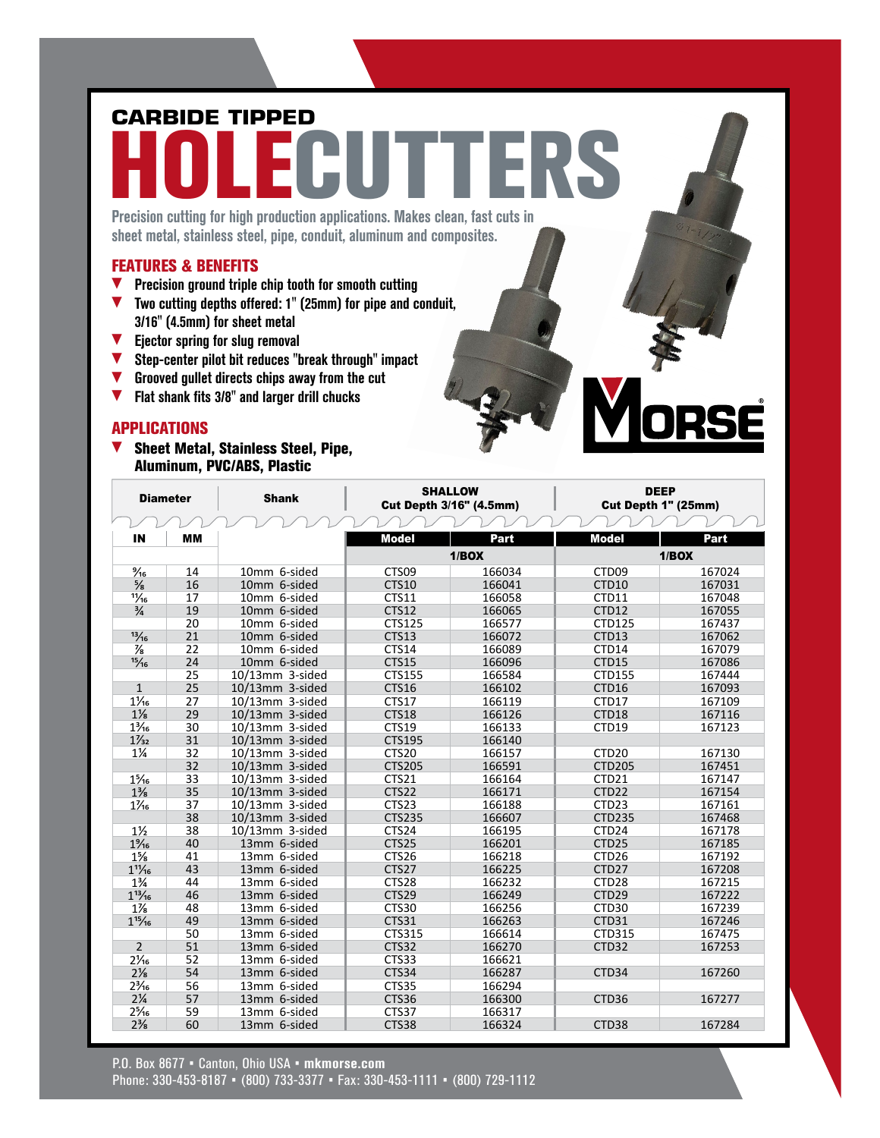# **CARBIDE TIPPED**

# HOLECUTTERS

Precision cutting for high production applications. Makes clean, fast cuts in sheet metal, stainless steel, pipe, conduit, aluminum and composites.

#### FEATURES & BENEFITS

- $\blacktriangledown$  Precision ground triple chip tooth for smooth cutting
- $\blacktriangledown$  Two cutting depths offered: 1" (25mm) for pipe and conduit, 3/16" (4.5mm) for sheet metal
- $\blacktriangledown$  Ejector spring for slug removal
- $\blacktriangledown$  Step-center pilot bit reduces "break through" impact
- $\blacktriangledown$  Grooved gullet directs chips away from the cut
- $\blacktriangledown$  Flat shank fits 3/8" and larger drill chucks

#### **APPLICATIONS**

 $\blacktriangledown$  Sheet Metal, Stainless Steel, Pipe, Aluminum, PVC/ABS, Plastic

| <b>Diameter</b> |           | <b>Shank</b>       |                   | <b>SHALLOW</b><br><b>Cut Depth 3/16" (4.5mm)</b> | <b>DEEP</b><br>Cut Depth 1" (25mm) |        |  |
|-----------------|-----------|--------------------|-------------------|--------------------------------------------------|------------------------------------|--------|--|
|                 |           |                    |                   |                                                  |                                    |        |  |
| IN              | <b>MM</b> |                    | <b>Model</b>      | Part                                             | <b>Model</b>                       | Part   |  |
|                 |           |                    |                   | 1/BOX                                            | 1/BOX                              |        |  |
| $\frac{9}{16}$  | 14        | 10mm 6-sided       | CTS09             | 166034                                           | CTD <sub>09</sub>                  | 167024 |  |
| $\frac{5}{8}$   | 16        | 10mm 6-sided       | <b>CTS10</b>      | 166041                                           | CTD10                              | 167031 |  |
| $\frac{11}{16}$ | 17        | 10mm 6-sided       | CTS11             | 166058                                           | CTD11                              | 167048 |  |
| $\frac{3}{4}$   | 19        | 10mm 6-sided       | <b>CTS12</b>      | 166065                                           | CTD12                              | 167055 |  |
|                 | 20        | 10mm 6-sided       | CTS125            | 166577                                           | CTD125                             | 167437 |  |
| 13/16           | 21        | 10mm 6-sided       | <b>CTS13</b>      | 166072                                           | CTD13                              | 167062 |  |
| $\frac{7}{8}$   | 22        | 10mm 6-sided       | CTS14             | 166089                                           | CTD14                              | 167079 |  |
| 15/16           | 24        | 10mm 6-sided       | <b>CTS15</b>      | 166096                                           | CTD15                              | 167086 |  |
|                 | 25        | 10/13mm 3-sided    | CTS155            | 166584                                           | CTD155                             | 167444 |  |
| $\mathbf{1}$    | 25        | 10/13mm 3-sided    | CTS16             | 166102                                           | CTD16                              | 167093 |  |
| $1\frac{1}{16}$ | 27        | $10/13$ mm 3-sided | <b>CTS17</b>      | 166119                                           | CTD17                              | 167109 |  |
| $1\frac{1}{8}$  | 29        | 10/13mm 3-sided    | <b>CTS18</b>      | 166126                                           | CTD <sub>18</sub>                  | 167116 |  |
| $1\frac{3}{16}$ | 30        | 10/13mm 3-sided    | CTS19             | 166133                                           | CTD19                              | 167123 |  |
| $1\frac{7}{32}$ | 31        | 10/13mm 3-sided    | CTS195            | 166140                                           |                                    |        |  |
| $1\frac{1}{4}$  | 32        | 10/13mm 3-sided    | CTS <sub>20</sub> | 166157                                           | CTD <sub>20</sub>                  | 167130 |  |
|                 | 32        | 10/13mm 3-sided    | <b>CTS205</b>     | 166591                                           | <b>CTD205</b>                      | 167451 |  |
| $1\frac{5}{16}$ | 33        | 10/13mm 3-sided    | CTS21             | 166164                                           | CTD21                              | 167147 |  |
| $1\frac{3}{8}$  | 35        | 10/13mm 3-sided    | CTS22             | 166171                                           | CTD22                              | 167154 |  |
| $1\frac{7}{16}$ | 37        | 10/13mm 3-sided    | CTS23             | 166188                                           | CTD <sub>23</sub>                  | 167161 |  |
|                 | 38        | 10/13mm 3-sided    | <b>CTS235</b>     | 166607                                           | <b>CTD235</b>                      | 167468 |  |
| $1\frac{1}{2}$  | 38        | 10/13mm 3-sided    | CTS24             | 166195                                           | CTD24                              | 167178 |  |
| $1\%$           | 40        | 13mm 6-sided       | CTS25             | 166201                                           | CTD <sub>25</sub>                  | 167185 |  |
| $1\frac{5}{8}$  | 41        | 13mm 6-sided       | CTS26             | 166218                                           | CTD <sub>26</sub>                  | 167192 |  |
| $1^{11}/16$     | 43        | 13mm 6-sided       | CTS27             | 166225                                           | CTD <sub>27</sub>                  | 167208 |  |
| $1\frac{3}{4}$  | 44        | 13mm 6-sided       | CTS28             | 166232                                           | CTD <sub>28</sub>                  | 167215 |  |
| $1^{13}/16$     | 46        | 13mm 6-sided       | CTS29             | 166249                                           | CTD29                              | 167222 |  |
| $1\frac{7}{8}$  | 48        | 13mm 6-sided       | CTS30             | 166256                                           | CTD30                              | 167239 |  |
| $1^{15}/16$     | 49        | 13mm 6-sided       | CTS31             | 166263                                           | CTD31                              | 167246 |  |
|                 | 50        | 13mm 6-sided       | CTS315            | 166614                                           | CTD315                             | 167475 |  |
| $\overline{2}$  | 51        | 13mm 6-sided       | CTS32             | 166270                                           | CTD <sub>32</sub>                  | 167253 |  |
| $2\frac{1}{16}$ | 52        | 13mm 6-sided       | CTS33             | 166621                                           |                                    |        |  |
| $2\frac{1}{8}$  | 54        | 13mm 6-sided       | CTS34             | 166287                                           | CTD34                              | 167260 |  |
| $2\frac{3}{16}$ | 56        | 13mm 6-sided       | CTS35             | 166294                                           |                                    |        |  |
| $2\frac{1}{4}$  | 57        | 13mm 6-sided       | CTS36             | 166300                                           | CTD <sub>36</sub>                  | 167277 |  |
| $2\frac{5}{16}$ | 59        | 13mm 6-sided       | CTS37             | 166317                                           |                                    |        |  |
| $2\frac{3}{8}$  | 60        | 13mm 6-sided       | CTS38             | 166324                                           | CTD38                              | 167284 |  |

nper

P.O. Box 8677 • Canton, Ohio USA • mkmorse.com Phone: 330-453-8187 • (800) 733-3377 • Fax: 330-453-1111 • (800) 729-1112